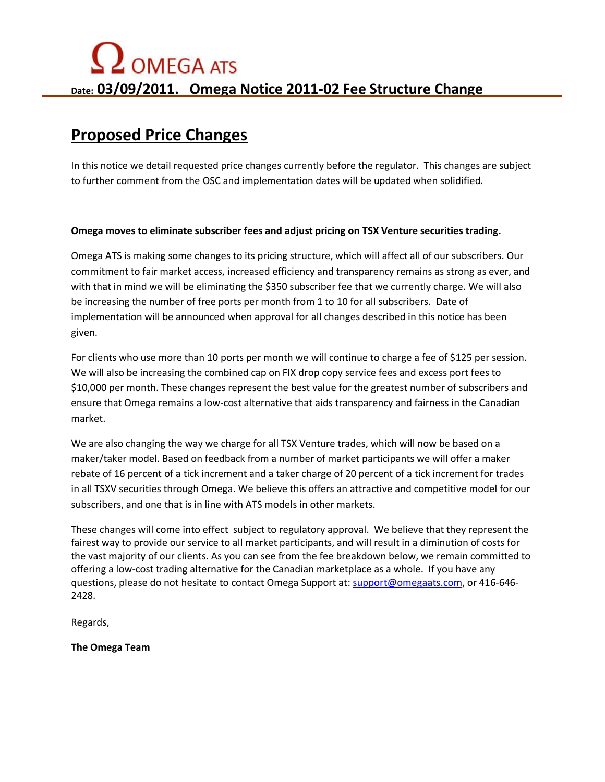## **Proposed Price Changes**

In this notice we detail requested price changes currently before the regulator. This changes are subject to further comment from the OSC and implementation dates will be updated when solidified.

## **Omega moves to eliminate subscriber fees and adjust pricing on TSX Venture securities trading.**

Omega ATS is making some changes to its pricing structure, which will affect all of our subscribers. Our commitment to fair market access, increased efficiency and transparency remains as strong as ever, and with that in mind we will be eliminating the \$350 subscriber fee that we currently charge. We will also be increasing the number of free ports per month from 1 to 10 for all subscribers. Date of implementation will be announced when approval for all changes described in this notice has been given.

For clients who use more than 10 ports per month we will continue to charge a fee of \$125 per session. We will also be increasing the combined cap on FIX drop copy service fees and excess port fees to \$10,000 per month. These changes represent the best value for the greatest number of subscribers and ensure that Omega remains a low-cost alternative that aids transparency and fairness in the Canadian market.

We are also changing the way we charge for all TSX Venture trades, which will now be based on a maker/taker model. Based on feedback from a number of market participants we will offer a maker rebate of 16 percent of a tick increment and a taker charge of 20 percent of a tick increment for trades in all TSXV securities through Omega. We believe this offers an attractive and competitive model for our subscribers, and one that is in line with ATS models in other markets.

These changes will come into effect subject to regulatory approval. We believe that they represent the fairest way to provide our service to all market participants, and will result in a diminution of costs for the vast majority of our clients. As you can see from the fee breakdown below, we remain committed to offering a low-cost trading alternative for the Canadian marketplace as a whole. If you have any questions, please do not hesitate to contact Omega Support at: support@omegaats.com, or 416-646- 2428.

Regards,

**The Omega Team**